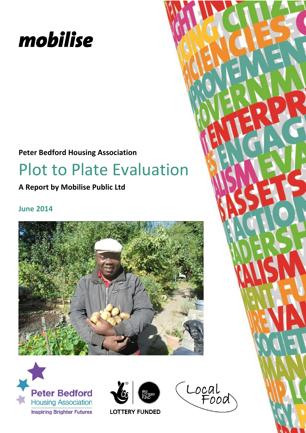

## **Peter Bedford Housing Association**

# Plot to Plate Evaluation

**A Report by Mobilise Public Ltd**

## **June 2014**







Local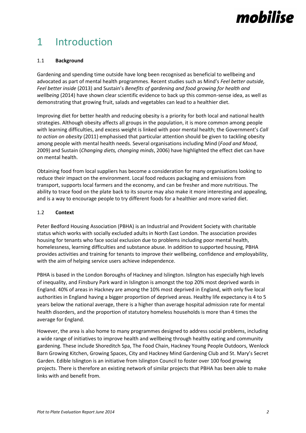# 1 Introduction

#### 1.1 **Background**

Gardening and spending time outside have long been recognised as beneficial to wellbeing and advocated as part of mental health programmes. Recent studies such as Mind's *Feel better outside, Feel better inside* (2013) and Sustain's *Benefits of gardening and food growing for health and wellbeing* (2014) have shown clear scientific evidence to back up this common-sense idea, as well as demonstrating that growing fruit, salads and vegetables can lead to a healthier diet.

Improving diet for better health and reducing obesity is a priority for both local and national health strategies. Although obesity affects all groups in the population, it is more common among people with learning difficulties, and excess weight is linked with poor mental health; the Government's *Call to action on obesity* (2011) emphasised that particular attention should be given to tackling obesity among people with mental health needs. Several organisations including Mind (*Food and Mood*, 2009) and Sustain (*Changing diets, changing minds*, 2006) have highlighted the effect diet can have on mental health.

Obtaining food from local suppliers has become a consideration for many organisations looking to reduce their impact on the environment. Local food reduces packaging and emissions from transport, supports local farmers and the economy, and can be fresher and more nutritious. The ability to trace food on the plate back to its source may also make it more interesting and appealing, and is a way to encourage people to try different foods for a healthier and more varied diet.

#### 1.2 **Context**

Peter Bedford Housing Association (PBHA) is an Industrial and Provident Society with charitable status which works with socially excluded adults in North East London. The association provides housing for tenants who face social exclusion due to problems including poor mental health, homelessness, learning difficulties and substance abuse. In addition to supported housing, PBHA provides activities and training for tenants to improve their wellbeing, confidence and employability, with the aim of helping service users achieve independence.

PBHA is based in the London Boroughs of Hackney and Islington. Islington has especially high levels of inequality, and Finsbury Park ward in Islington is amongst the top 20% most deprived wards in England. 40% of areas in Hackney are among the 10% most deprived in England, with only five local authorities in England having a bigger proportion of deprived areas. Healthy life expectancy is 4 to 5 years below the national average, there is a higher than average hospital admission rate for mental health disorders, and the proportion of statutory homeless households is more than 4 times the average for England.

However, the area is also home to many programmes designed to address social problems, including a wide range of initiatives to improve health and wellbeing through healthy eating and community gardening. These include Shoreditch Spa, The Food Chain, Hackney Young People Outdoors, Wenlock Barn Growing Kitchen, Growing Spaces, City and Hackney Mind Gardening Club and St. Mary's Secret Garden. Edible Islington is an initiative from Islington Council to foster over 100 food growing projects. There is therefore an existing network of similar projects that PBHA has been able to make links with and benefit from.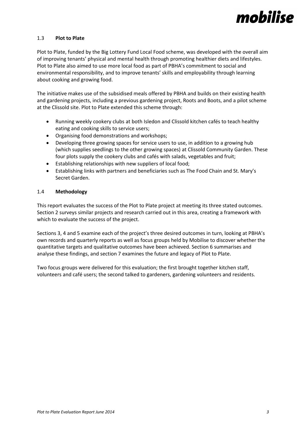

#### 1.3 **Plot to Plate**

Plot to Plate, funded by the Big Lottery Fund Local Food scheme, was developed with the overall aim of improving tenants' physical and mental health through promoting healthier diets and lifestyles. Plot to Plate also aimed to use more local food as part of PBHA's commitment to social and environmental responsibility, and to improve tenants' skills and employability through learning about cooking and growing food.

The initiative makes use of the subsidised meals offered by PBHA and builds on their existing health and gardening projects, including a previous gardening project, Roots and Boots, and a pilot scheme at the Clissold site. Plot to Plate extended this scheme through:

- Running weekly cookery clubs at both Isledon and Clissold kitchen cafés to teach healthy eating and cooking skills to service users;
- Organising food demonstrations and workshops;
- Developing three growing spaces for service users to use, in addition to a growing hub (which supplies seedlings to the other growing spaces) at Clissold Community Garden. These four plots supply the cookery clubs and cafés with salads, vegetables and fruit;
- Establishing relationships with new suppliers of local food;
- Establishing links with partners and beneficiaries such as The Food Chain and St. Mary's Secret Garden.

#### 1.4 **Methodology**

This report evaluates the success of the Plot to Plate project at meeting its three stated outcomes. Section 2 surveys similar projects and research carried out in this area, creating a framework with which to evaluate the success of the project.

Sections 3, 4 and 5 examine each of the project's three desired outcomes in turn, looking at PBHA's own records and quarterly reports as well as focus groups held by Mobilise to discover whether the quantitative targets and qualitative outcomes have been achieved. Section 6 summarises and analyse these findings, and section 7 examines the future and legacy of Plot to Plate.

Two focus groups were delivered for this evaluation; the first brought together kitchen staff, volunteers and café users; the second talked to gardeners, gardening volunteers and residents.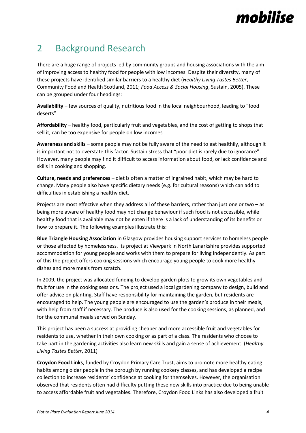## 2 Background Research

There are a huge range of projects led by community groups and housing associations with the aim of improving access to healthy food for people with low incomes. Despite their diversity, many of these projects have identified similar barriers to a healthy diet (*Healthy Living Tastes Better*, Community Food and Health Scotland, 2011; *Food Access & Social Housing*, Sustain, 2005). These can be grouped under four headings:

**Availability** – few sources of quality, nutritious food in the local neighbourhood, leading to "food deserts"

**Affordability** – healthy food, particularly fruit and vegetables, and the cost of getting to shops that sell it, can be too expensive for people on low incomes

**Awareness and skills** – some people may not be fully aware of the need to eat healthily, although it is important not to overstate this factor. Sustain stress that "poor diet is rarely due to ignorance". However, many people may find it difficult to access information about food, or lack confidence and skills in cooking and shopping.

**Culture, needs and preferences** – diet is often a matter of ingrained habit, which may be hard to change. Many people also have specific dietary needs (e.g. for cultural reasons) which can add to difficulties in establishing a healthy diet.

Projects are most effective when they address all of these barriers, rather than just one or two – as being more aware of healthy food may not change behaviour if such food is not accessible, while healthy food that is available may not be eaten if there is a lack of understanding of its benefits or how to prepare it. The following examples illustrate this:

**Blue Triangle Housing Association** in Glasgow provides housing support services to homeless people or those affected by homelessness. Its project at Viewpark in North Lanarkshire provides supported accommodation for young people and works with them to prepare for living independently. As part of this the project offers cooking sessions which encourage young people to cook more healthy dishes and more meals from scratch.

In 2009, the project was allocated funding to develop garden plots to grow its own vegetables and fruit for use in the cooking sessions. The project used a local gardening company to design, build and offer advice on planting. Staff have responsibility for maintaining the garden, but residents are encouraged to help. The young people are encouraged to use the garden's produce in their meals, with help from staff if necessary. The produce is also used for the cooking sessions, as planned, and for the communal meals served on Sunday.

This project has been a success at providing cheaper and more accessible fruit and vegetables for residents to use, whether in their own cooking or as part of a class. The residents who choose to take part in the gardening activities also learn new skills and gain a sense of achievement. (*Healthy Living Tastes Better*, 2011)

**Croydon Food Links**, funded by Croydon Primary Care Trust, aims to promote more healthy eating habits among older people in the borough by running cookery classes, and has developed a recipe collection to increase residents' confidence at cooking for themselves. However, the organisation observed that residents often had difficulty putting these new skills into practice due to being unable to access affordable fruit and vegetables. Therefore, Croydon Food Links has also developed a fruit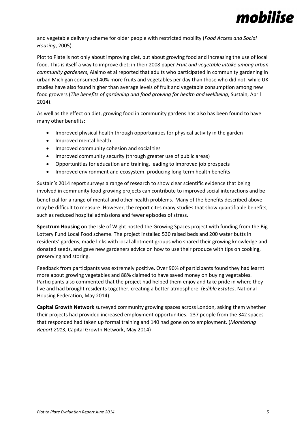

and vegetable delivery scheme for older people with restricted mobility (*Food Access and Social Housing*, 2005).

Plot to Plate is not only about improving diet, but about growing food and increasing the use of local food. This is itself a way to improve diet; in their 2008 paper *Fruit and vegetable intake among urban community gardeners*, Alaimo et al reported that adults who participated in community gardening in urban Michigan consumed 40% more fruits and vegetables per day than those who did not, while UK studies have also found higher than average levels of fruit and vegetable consumption among new food growers (*The benefits of gardening and food growing for health and wellbeing*, Sustain, April 2014).

As well as the effect on diet, growing food in community gardens has also has been found to have many other benefits:

- Improved physical health through opportunities for physical activity in the garden
- Improved mental health
- **•** Improved community cohesion and social ties
- Improved community security (through greater use of public areas)
- Opportunities for education and training, leading to improved job prospects
- Improved environment and ecosystem, producing long-term health benefits

Sustain's 2014 report surveys a range of research to show clear scientific evidence that being involved in community food growing projects can contribute to improved social interactions and be

beneficial for a range of mental and other health problems. Many of the benefits described above may be difficult to measure. However, the report cites many studies that show quantifiable benefits, such as reduced hospital admissions and fewer episodes of stress.

**Spectrum Housing** on the Isle of Wight hosted the Growing Spaces project with funding from the Big Lottery Fund Local Food scheme. The project installed 530 raised beds and 200 water butts in residents' gardens, made links with local allotment groups who shared their growing knowledge and donated seeds, and gave new gardeners advice on how to use their produce with tips on cooking, preserving and storing.

Feedback from participants was extremely positive. Over 90% of participants found they had learnt more about growing vegetables and 88% claimed to have saved money on buying vegetables. Participants also commented that the project had helped them enjoy and take pride in where they live and had brought residents together, creating a better atmosphere. (*Edible Estates*, National Housing Federation, May 2014)

**Capital Growth Network** surveyed community growing spaces across London, asking them whether their projects had provided increased employment opportunities. 237 people from the 342 spaces that responded had taken up formal training and 140 had gone on to employment. (*Monitoring Report 2013*, Capital Growth Network, May 2014)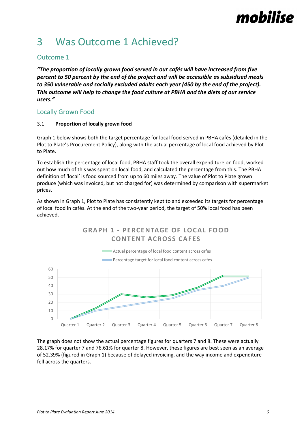# 3 Was Outcome 1 Achieved?

### Outcome 1

*"The proportion of locally grown food served in our cafés will have increased from five percent to 50 percent by the end of the project and will be accessible as subsidised meals to 350 vulnerable and socially excluded adults each year (450 by the end of the project). This outcome will help to change the food culture at PBHA and the diets of our service users."*

### Locally Grown Food

#### 3.1 **Proportion of locally grown food**

Graph 1 below shows both the target percentage for local food served in PBHA cafés (detailed in the Plot to Plate's Procurement Policy), along with the actual percentage of local food achieved by Plot to Plate.

To establish the percentage of local food, PBHA staff took the overall expenditure on food, worked out how much of this was spent on local food, and calculated the percentage from this. The PBHA definition of 'local' is food sourced from up to 60 miles away. The value of Plot to Plate grown produce (which was invoiced, but not charged for) was determined by comparison with supermarket prices.

As shown in Graph 1, Plot to Plate has consistently kept to and exceeded its targets for percentage of local food in cafés. At the end of the two-year period, the target of 50% local food has been achieved.



The graph does not show the actual percentage figures for quarters 7 and 8. These were actually 28.17% for quarter 7 and 76.61% for quarter 8. However, these figures are best seen as an average of 52.39% (figured in Graph 1) because of delayed invoicing, and the way income and expenditure fell across the quarters.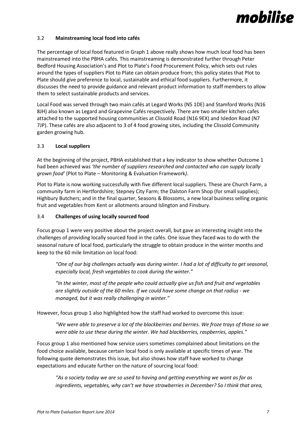#### 3.2 **Mainstreaming local food into cafés**

The percentage of local food featured in Graph 1 above really shows how much local food has been mainstreamed into the PBHA cafés. This mainstreaming is demonstrated further through Peter Bedford Housing Association's and Plot to Plate's Food Procurement Policy, which sets out rules around the types of suppliers Plot to Plate can obtain produce from; this policy states that Plot to Plate should give preference to local, sustainable and ethical food suppliers. Furthermore, it discusses the need to provide guidance and relevant product information to staff members to allow them to select sustainable products and services.

Local Food was served through two main cafés at Legard Works (N5 1DE) and Stamford Works (N16 8JH) also known as Legard and Grapevine Cafés respectively. There are two smaller kitchen cafes attached to the supported housing communities at Clissold Road (N16 9EX) and Isledon Road (N7 7JP). These cafés are also adjacent to 3 of 4 food growing sites, including the Clissold Community garden growing hub.

#### 3.3 **Local suppliers**

At the beginning of the project, PBHA established that a key indicator to show whether Outcome 1 had been achieved was *'the number of suppliers researched and contacted who can supply locally grown food'* (Plot to Plate – Monitoring & Evaluation Framework*)*.

Plot to Plate is now working successfully with five different local suppliers. These are Church Farm, a community farm in Hertfordshire; Stepney City Farm; the Dalston Farm Shop (for small supplies); Highbury Butchers; and in the final quarter, Seasons & Blossoms, a new local business selling organic fruit and vegetables from Kent or allotments around Islington and Finsbury.

#### 3.4 **Challenges of using locally sourced food**

Focus group 1 were very positive about the project overall, but gave an interesting insight into the challenges of providing locally sourced food in the cafés. One issue they faced was to do with the seasonal nature of local food, particularly the struggle to obtain produce in the winter months and keep to the 60 mile limitation on local food:

*"One of our big challenges actually was during winter. I had a lot of difficulty to get seasonal, especially local, fresh vegetables to cook during the winter."*

*"In the winter, most of the people who could actually give us fish and fruit and vegetables are slightly outside of the 60 miles. If we could have some change on that radius - we managed, but it was really challenging in winter."* 

However, focus group 1 also highlighted how the staff had worked to overcome this issue:

*"We were able to preserve a lot of the blackberries and berries. We froze trays of those so we were able to use these during the winter. We had blackberries, raspberries, apples."*

Focus group 1 also mentioned how service users sometimes complained about limitations on the food choice available, because certain local food is only available at specific times of year. The following quote demonstrates this issue, but also shows how staff have worked to change expectations and educate further on the nature of sourcing local food:

*"As a society today we are so used to having and getting everything we want as far as ingredients, vegetables, why can't we have strawberries in December? So I think that area,*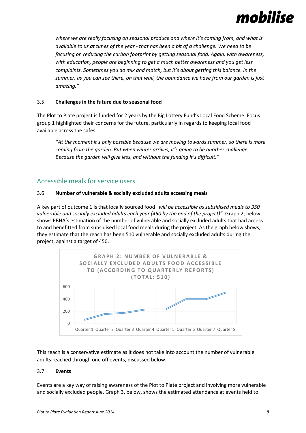

*where we are really focusing on seasonal produce and where it's coming from, and what is available to us at times of the year - that has been a bit of a challenge. We need to be focusing on reducing the carbon footprint by getting seasonal food. Again, with awareness, with education, people are beginning to get a much better awareness and you get less complaints. Sometimes you do mix and match, but it's about getting this balance. In the summer, as you can see there, on that wall, the abundance we have from our garden is just amazing."* 

#### 3.5 **Challenges in the future due to seasonal food**

The Plot to Plate project is funded for 2 years by the Big Lottery Fund's Local Food Scheme. Focus group 1 highlighted their concerns for the future, particularly in regards to keeping local food available across the cafés:

*"At the moment it's only possible because we are moving towards summer, so there is more coming from the garden. But when winter arrives, it's going to be another challenge. Because the garden will give less, and without the funding it's difficult."*

#### Accessible meals for service users

#### 3.6 **Number of vulnerable & socially excluded adults accessing meals**

A key part of outcome 1 is that locally sourced food "*will be accessible as subsidised meals to 350 vulnerable and socially excluded adults each year (450 by the end of the project)".* Graph 2, below, shows PBHA's estimation of the number of vulnerable and socially excluded adults that had access to and benefitted from subsidised local food meals during the project. As the graph below shows, they estimate that the reach has been 510 vulnerable and socially excluded adults during the project, against a target of 450.



This reach is a conservative estimate as it does not take into account the number of vulnerable adults reached through one off events, discussed below.

#### 3.7 **Events**

Events are a key way of raising awareness of the Plot to Plate project and involving more vulnerable and socially excluded people. Graph 3, below, shows the estimated attendance at events held to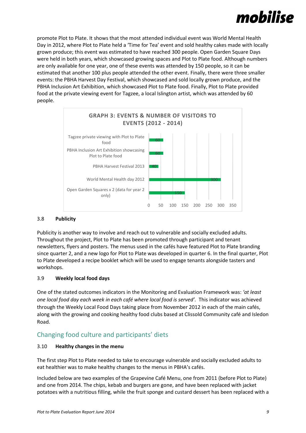

promote Plot to Plate. It shows that the most attended individual event was World Mental Health Day in 2012, where Plot to Plate held a 'Time for Tea' event and sold healthy cakes made with locally grown produce; this event was estimated to have reached 300 people. Open Garden Square Days were held in both years, which showcased growing spaces and Plot to Plate food. Although numbers are only available for one year, one of these events was attended by 150 people, so it can be estimated that another 100 plus people attended the other event. Finally, there were three smaller events: the PBHA Harvest Day Festival, which showcased and sold locally grown produce, and the PBHA Inclusion Art Exhibition, which showcased Plot to Plate food. Finally, Plot to Plate provided food at the private viewing event for Tagzee, a local Islington artist, which was attended by 60 people.



#### 3.8 **Publicity**

Publicity is another way to involve and reach out to vulnerable and socially excluded adults. Throughout the project, Plot to Plate has been promoted through participant and tenant newsletters, flyers and posters. The menus used in the cafés have featured Plot to Plate branding since quarter 2, and a new logo for Plot to Plate was developed in quarter 6. In the final quarter, Plot to Plate developed a recipe booklet which will be used to engage tenants alongside tasters and workshops.

#### 3.9 **Weekly local food days**

One of the stated outcomes indicators in the Monitoring and Evaluation Framework was: *'at least one local food day each week in each café where local food is served'.* This indicator was achieved through the Weekly Local Food Days taking place from November 2012 in each of the main cafés, along with the growing and cooking healthy food clubs based at Clissold Community café and Isledon Road.

### Changing food culture and participants' diets

#### 3.10 **Healthy changes in the menu**

The first step Plot to Plate needed to take to encourage vulnerable and socially excluded adults to eat healthier was to make healthy changes to the menus in PBHA's cafés.

Included below are two examples of the Grapevine Café Menu, one from 2011 (before Plot to Plate) and one from 2014. The chips, kebab and burgers are gone, and have been replaced with jacket potatoes with a nutritious filling, while the fruit sponge and custard dessert has been replaced with a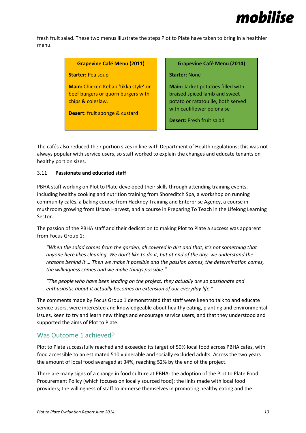

fresh fruit salad. These two menus illustrate the steps Plot to Plate have taken to bring in a healthier menu.

#### **Grapevine Café Menu (2011)**

#### **Starter:** Pea soup

**Main:** Chicken Kebab 'tikka style' or beef burgers or quorn burgers with chips & coleslaw.

**Desert:** fruit sponge & custard

**Grapevine Café Menu (2014)**

#### **Starter:** None

**Main:** Jacket potatoes filled with braised spiced lamb and sweet potato or ratatouille, both served with cauliflower polonaise

**Desert:** Fresh fruit salad

The cafés also reduced their portion sizes in line with Department of Health regulations; this was not always popular with service users, so staff worked to explain the changes and educate tenants on healthy portion sizes.

#### 3.11 **Passionate and educated staff**

PBHA staff working on Plot to Plate developed their skills through attending training events, including healthy cooking and nutrition training from Shoreditch Spa, a workshop on running community cafés, a baking course from Hackney Training and Enterprise Agency, a course in mushroom growing from Urban Harvest, and a course in Preparing To Teach in the Lifelong Learning Sector.

The passion of the PBHA staff and their dedication to making Plot to Plate a success was apparent from Focus Group 1:

*"When the salad comes from the garden, all covered in dirt and that, it's not something that anyone here likes cleaning. We don't like to do it, but at end of the day, we understand the reasons behind it … Then we make it possible and the passion comes, the determination comes, the willingness comes and we make things possible."*

*"The people who have been leading on the project, they actually are so passionate and enthusiastic about it actually becomes an extension of our everyday life."*

The comments made by Focus Group 1 demonstrated that staff were keen to talk to and educate service users, were interested and knowledgeable about healthy eating, planting and environmental issues, keen to try and learn new things and encourage service users, and that they understood and supported the aims of Plot to Plate.

### Was Outcome 1 achieved?

Plot to Plate successfully reached and exceeded its target of 50% local food across PBHA cafés, with food accessible to an estimated 510 vulnerable and socially excluded adults. Across the two years the amount of local food averaged at 34%, reaching 52% by the end of the project.

There are many signs of a change in food culture at PBHA: the adoption of the Plot to Plate Food Procurement Policy (which focuses on locally sourced food); the links made with local food providers; the willingness of staff to immerse themselves in promoting healthy eating and the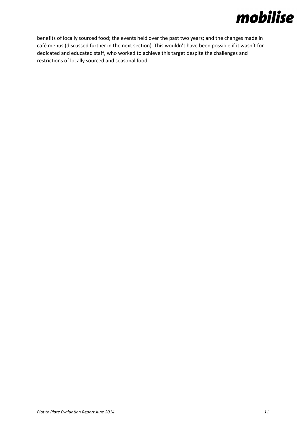benefits of locally sourced food; the events held over the past two years; and the changes made in café menus (discussed further in the next section). This wouldn't have been possible if it wasn't for dedicated and educated staff, who worked to achieve this target despite the challenges and restrictions of locally sourced and seasonal food.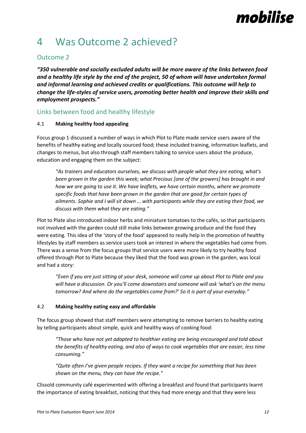## 4 Was Outcome 2 achieved?

## Outcome 2

*"350 vulnerable and socially excluded adults will be more aware of the links between food and a healthy life style by the end of the project, 50 of whom will have undertaken formal and informal learning and achieved credits or qualifications. This outcome will help to change the life-styles of service users, promoting better health and improve their skills and employment prospects."*

### Links between food and healthy lifestyle

### 4.1 **Making healthy food appealing**

Focus group 1 discussed a number of ways in which Plot to Plate made service users aware of the benefits of healthy eating and locally sourced food; these included training, information leaflets, and changes to menus, but also through staff members talking to service users about the produce, education and engaging them on the subject:

*"As trainers and educators ourselves, we discuss with people what they are eating, what's been grown in the garden this week; what Precious [one of the growers] has brought in and how we are going to use it. We have leaflets, we have certain months, where we promote specific foods that have been grown in the garden that are good for certain types of ailments. Sophie and I will sit down … with participants while they are eating their food, we discuss with them what they are eating."*

Plot to Plate also introduced indoor herbs and miniature tomatoes to the cafés, so that participants not involved with the garden could still make links between growing produce and the food they were eating. This idea of the 'story of the food' appeared to really help in the promotion of healthy lifestyles by staff members as service users took an interest in where the vegetables had come from. There was a sense from the focus groups that service users were more likely to try healthy food offered through Plot to Plate because they liked that the food was grown in the garden, was local and had a story:

*"Even if you are just sitting at your desk, someone will come up about Plot to Plate and you will have a discussion. Or you'll come downstairs and someone will ask 'what's on the menu tomorrow? And where do the vegetables come from?' So it is part of your everyday."*

#### 4.2 **Making healthy eating easy and affordable**

The focus group showed that staff members were attempting to remove barriers to healthy eating by telling participants about simple, quick and healthy ways of cooking food:

*"Those who have not yet adapted to healthier eating are being encouraged and told about the benefits of healthy eating, and also of ways to cook vegetables that are easier, less time consuming."*

*"Quite often I've given people recipes. If they want a recipe for something that has been shown on the menu, they can have the recipe."*

Clissold community café experimented with offering a breakfast and found that participants learnt the importance of eating breakfast, noticing that they had more energy and that they were less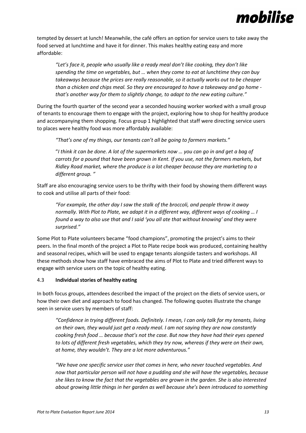

tempted by dessert at lunch! Meanwhile, the café offers an option for service users to take away the food served at lunchtime and have it for dinner. This makes healthy eating easy and more affordable:

*"Let's face it, people who usually like a ready meal don't like cooking, they don't like spending the time on vegetables, but … when they come to eat at lunchtime they can buy takeaways because the prices are really reasonable, so it actually works out to be cheaper than a chicken and chips meal. So they are encouraged to have a takeaway and go home that's another way for them to slightly change, to adapt to the new eating culture."*

During the fourth quarter of the second year a seconded housing worker worked with a small group of tenants to encourage them to engage with the project, exploring how to shop for healthy produce and accompanying them shopping. Focus group 1 highlighted that staff were directing service users to places were healthy food was more affordably available:

*"That's one of my things, our tenants can't all be going to farmers markets."*

"*I think it can be done. A lot of the supermarkets now … you can go in and get a bag of carrots for a pound that have been grown in Kent. If you use, not the farmers markets, but Ridley Road market, where the produce is a lot cheaper because they are marketing to a different group. "*

Staff are also encouraging service users to be thrifty with their food by showing them different ways to cook and utilise all parts of their food:

*"For example, the other day I saw the stalk of the broccoli, and people throw it away normally. With Plot to Plate, we adapt it in a different way, different ways of cooking … I found a way to also use that and I said 'you all ate that without knowing' and they were surprised."*

Some Plot to Plate volunteers became "food champions", promoting the project's aims to their peers. In the final month of the project a Plot to Plate recipe book was produced, containing healthy and seasonal recipes, which will be used to engage tenants alongside tasters and workshops. All these methods show how staff have embraced the aims of Plot to Plate and tried different ways to engage with service users on the topic of healthy eating.

#### 4.3 **Individual stories of healthy eating**

In both focus groups, attendees described the impact of the project on the diets of service users, or how their own diet and approach to food has changed. The following quotes illustrate the change seen in service users by members of staff:

*"Confidence in trying different foods. Definitely. I mean, I can only talk for my tenants, living on their own, they would just get a ready meal. I am not saying they are now constantly cooking fresh food … because that's not the case. But now they have had their eyes opened to lots of different fresh vegetables, which they try now, whereas if they were on their own, at home, they wouldn't. They are a lot more adventurous."*

*"We have one specific service user that comes in here, who never touched vegetables. And now that particular person will not have a pudding and she will have the vegetables, because she likes to know the fact that the vegetables are grown in the garden. She is also interested about growing little things in her garden as well because she's been introduced to something*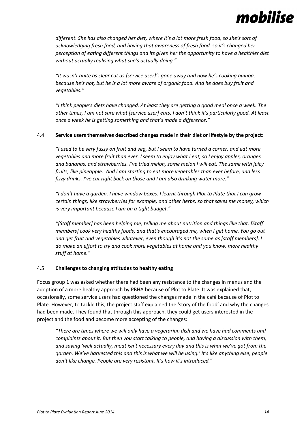

*different. She has also changed her diet, where it's a lot more fresh food, so she's sort of acknowledging fresh food, and having that awareness of fresh food, so it's changed her perception of eating different things and its given her the opportunity to have a healthier diet without actually realising what she's actually doing."*

*"It wasn't quite as clear cut as [service user]'s gone away and now he's cooking quinoa, because he's not, but he is a lot more aware of organic food. And he does buy fruit and vegetables."*

*"I think people's diets have changed. At least they are getting a good meal once a week. The other times, I am not sure what [service user] eats, I don't think it's particularly good. At least once a week he is getting something and that's made a difference."*

#### 4.4 **Service users themselves described changes made in their diet or lifestyle by the project:**

*"I used to be very fussy on fruit and veg, but I seem to have turned a corner, and eat more vegetables and more fruit than ever. I seem to enjoy what I eat, so I enjoy apples, oranges and bananas, and strawberries. I've tried melon, some melon I will eat. The same with juicy fruits, like pineapple. And I am starting to eat more vegetables than ever before, and less fizzy drinks. I've cut right back on those and I am also drinking water more."*

*"I don't have a garden, I have window boxes. I learnt through Plot to Plate that I can grow certain things, like strawberries for example, and other herbs, so that saves me money, which is very important because I am on a tight budget."* 

*"[Staff member] has been helping me, telling me about nutrition and things like that. [Staff members] cook very healthy foods, and that's encouraged me, when I get home. You go out and get fruit and vegetables whatever, even though it's not the same as [staff members]. I do make an effort to try and cook more vegetables at home and you know, more healthy stuff at home."*

#### 4.5 **Challenges to changing attitudes to healthy eating**

Focus group 1 was asked whether there had been any resistance to the changes in menus and the adoption of a more healthy approach by PBHA because of Plot to Plate. It was explained that, occasionally, some service users had questioned the changes made in the café because of Plot to Plate. However, to tackle this, the project staff explained the 'story of the food' and why the changes had been made. They found that through this approach, they could get users interested in the project and the food and become more accepting of the changes:

*"There are times where we will only have a vegetarian dish and we have had comments and complaints about it. But then you start talking to people, and having a discussion with them, and saying 'well actually, meat isn't necessary every day and this is what we've got from the garden. We've harvested this and this is what we will be using.' It's like anything else, people don't like change. People are very resistant. It's how it's introduced."*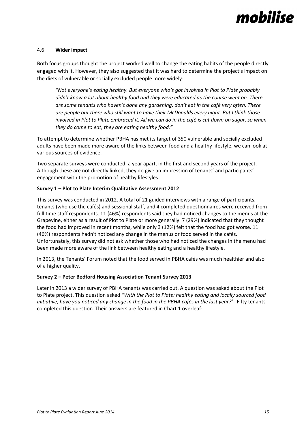

#### 4.6 **Wider impact**

Both focus groups thought the project worked well to change the eating habits of the people directly engaged with it. However, they also suggested that it was hard to determine the project's impact on the diets of vulnerable or socially excluded people more widely:

*"Not everyone's eating healthy. But everyone who's got involved in Plot to Plate probably didn't know a lot about healthy food and they were educated as the course went on. There are some tenants who haven't done any gardening, don't eat in the café very often. There are people out there who still want to have their McDonalds every night. But I think those involved in Plot to Plate embraced it. All we can do in the café is cut down on sugar, so when they do come to eat, they are eating healthy food."*

To attempt to determine whether PBHA has met its target of 350 vulnerable and socially excluded adults have been made more aware of the links between food and a healthy lifestyle, we can look at various sources of evidence.

Two separate surveys were conducted, a year apart, in the first and second years of the project. Although these are not directly linked, they do give an impression of tenants' and participants' engagement with the promotion of healthy lifestyles.

#### **Survey 1 – Plot to Plate Interim Qualitative Assessment 2012**

This survey was conducted in 2012. A total of 21 guided interviews with a range of participants, tenants (who use the cafés) and sessional staff, and 4 completed questionnaires were received from full time staff respondents. 11 (46%) respondents said they had noticed changes to the menus at the Grapevine, either as a result of Plot to Plate or more generally. 7 (29%) indicated that they thought the food had improved in recent months, while only 3 (12%) felt that the food had got worse. 11 (46%) respondents hadn't noticed any change in the menus or food served in the cafés. Unfortunately, this survey did not ask whether those who had noticed the changes in the menu had been made more aware of the link between healthy eating and a healthy lifestyle.

In 2013, the Tenants' Forum noted that the food served in PBHA cafés was much healthier and also of a higher quality.

#### **Survey 2 – Peter Bedford Housing Association Tenant Survey 2013**

Later in 2013 a wider survey of PBHA tenants was carried out. A question was asked about the Plot to Plate project. This question asked *"With the Plot to Plate: healthy eating and locally sourced food initiative, have you noticed any change in the food in the PBHA cafés in the last year?'* Fifty tenants completed this question. Their answers are featured in Chart 1 overleaf: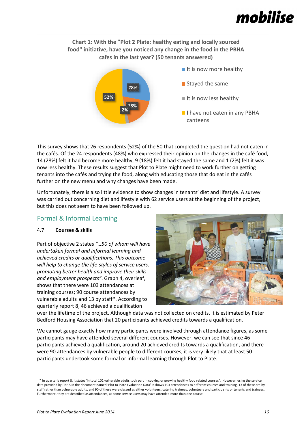

This survey shows that 26 respondents (52%) of the 50 that completed the question had not eaten in the cafés. Of the 24 respondents (48%) who expressed their opinion on the changes in the café food, 14 (28%) felt it had become more healthy, 9 (18%) felt it had stayed the same and 1 (2%) felt it was now less healthy. These results suggest that Plot to Plate might need to work further on getting tenants into the cafés and trying the food, along with educating those that do eat in the cafés further on the new menu and why changes have been made.

Unfortunately, there is also little evidence to show changes in tenants' diet and lifestyle. A survey was carried out concerning diet and lifestyle with 62 service users at the beginning of the project, but this does not seem to have been followed up.

### Formal & Informal Learning

#### 4.7 **Courses & skills**

Part of objective 2 states *"…50 of whom will have undertaken formal and informal learning and achieved credits or qualifications. This outcome will help to change the life-styles of service users, promoting better health and improve their skills and employment prospects"*. Graph 4, overleaf, shows that there were 103 attendances at training courses; 90 course attendances by vulnerable adults and 13 by staff\*. According to quarterly report 8, 46 achieved a qualification



over the lifetime of the project. Although data was not collected on credits, it is estimated by Peter Bedford Housing Association that 20 participants achieved credits towards a qualification.

We cannot gauge exactly how many participants were involved through attendance figures, as some participants may have attended several different courses. However, we can see that since 46 participants achieved a qualification, around 20 achieved credits towards a qualification, and there were 90 attendances by vulnerable people to different courses, it is very likely that at least 50 participants undertook some formal or informal learning through Plot to Plate.

**.** 

<sup>1</sup> \* In quarterly report 8, it states 'in total 102 vulnerable adults took part in cooking or growing healthy food related courses'. However, using the service data provided by PBHA in the document named 'Plot to Plate Evaluation Data' it shows 103 attendances to different courses and training. 13 of these are by staff rather than vulnerable adults, and 90 of these were classed as either volunteers, catering trainees, volunteers and participants or tenants and trainees. Furthermore, they are described as attendances, as some service users may have attended more than one course.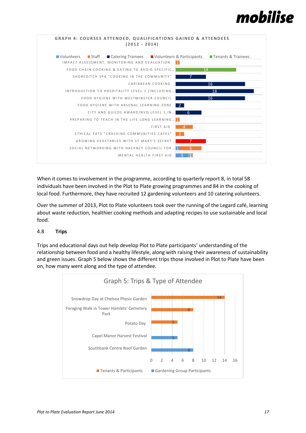



When it comes to involvement in the programme, according to quarterly report 8, in total 58 individuals have been involved in the Plot to Plate growing programmes and 84 in the cooking of local food. Furthermore, they have recruited 12 gardening volunteers and 10 catering volunteers.

Over the summer of 2013, Plot to Plate volunteers took over the running of the Legard café, learning about waste reduction, healthier cooking methods and adapting recipes to use sustainable and local food.

#### 4.8 **Trips**

Trips and educational days out help develop Plot to Plate participants' understanding of the relationship between food and a healthy lifestyle, along with raising their awareness of sustainability and green issues. Graph 5 below shows the different trips those involved in Plot to Plate have been on, how many went along and the type of attendee.

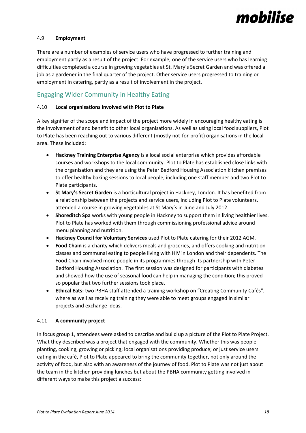

#### 4.9 **Employment**

There are a number of examples of service users who have progressed to further training and employment partly as a result of the project. For example, one of the service users who has learning difficulties completed a course in growing vegetables at St. Mary's Secret Garden and was offered a job as a gardener in the final quarter of the project. Other service users progressed to training or employment in catering, partly as a result of involvement in the project.

### Engaging Wider Community in Healthy Eating

#### 4.10 **Local organisations involved with Plot to Plate**

A key signifier of the scope and impact of the project more widely in encouraging healthy eating is the involvement of and benefit to other local organisations. As well as using local food suppliers, Plot to Plate has been reaching out to various different (mostly not-for-profit) organisations in the local area. These included:

- **Hackney Training Enterprise Agency** is a local social enterprise which provides affordable courses and workshops to the local community. Plot to Plate has established close links with the organisation and they are using the Peter Bedford Housing Association kitchen premises to offer healthy baking sessions to local people, including one staff member and two Plot to Plate participants.
- **St Mary's Secret Garden** is a horticultural project in Hackney, London. It has benefited from a relationship between the projects and service users, including Plot to Plate volunteers, attended a course in growing vegetables at St Mary's in June and July 2012.
- **Shoreditch Spa** works with young people in Hackney to support them in living healthier lives. Plot to Plate has worked with them through commissioning professional advice around menu planning and nutrition.
- **Hackney Council for Voluntary Services** used Plot to Plate catering for their 2012 AGM.
- **Food Chain** is a charity which delivers meals and groceries, and offers cooking and nutrition classes and communal eating to people living with HIV in London and their dependents. The Food Chain involved more people in its programmes through its partnership with Peter Bedford Housing Association. The first session was designed for participants with diabetes and showed how the use of seasonal food can help in managing the condition; this proved so popular that two further sessions took place.
- **Ethical Eats:** two PBHA staff attended a training workshop on "Creating Community Cafés", where as well as receiving training they were able to meet groups engaged in similar projects and exchange ideas.

#### 4.11 **A community project**

In focus group 1, attendees were asked to describe and build up a picture of the Plot to Plate Project. What they described was a project that engaged with the community. Whether this was people planting, cooking, growing or picking; local organisations providing produce; or just service users eating in the café, Plot to Plate appeared to bring the community together, not only around the activity of food, but also with an awareness of the journey of food. Plot to Plate was not just about the team in the kitchen providing lunches but about the PBHA community getting involved in different ways to make this project a success: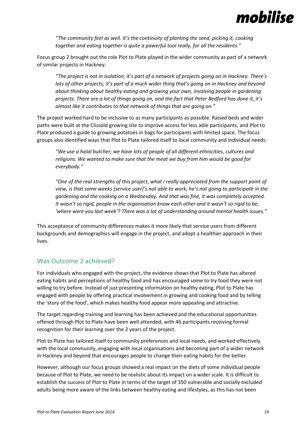

*"The community feel as well. It's the continuity of planting the seed, picking it, cooking together and eating together is quite a powerful tool really, for all the residents."*

Focus group 2 brought out the role Plot to Plate played in the wider community as part of a network of similar projects in Hackney:

*"The project is not in isolation; it's part of a network of projects going on in Hackney. There's lots of other projects; it's part of a much wider thing that's going on in Hackney and beyond about thinking about healthy eating and growing your own, involving people in gardening projects. There are a lot of things going on, and the fact that Peter Bedford has done it, it's almost like it contributes to that network of things that are going on."*

The project worked hard to be inclusive to as many participants as possible. Raised beds and wider paths were built at the Clissold growing site to improve access for less able participants, and Plot to Plate produced a guide to growing potatoes in bags for participants with limited space. The focus groups also identified ways that Plot to Plate tailored itself to local community and individual needs:

*"We use a halal butcher; we have lots of people of all different ethnicities, cultures and religions. We wanted to make sure that the meat we buy from him would be good for everybody."*

*"One of the real strengths of this project, what I really appreciated from the support point of view, is that some weeks [service user]'s not able to work, he's not going to participate in the gardening and the cooking on a Wednesday. And that was fine, it was completely accepted. It wasn't so rigid, people in the organisation know each other and it wasn't so rigid to be, 'where were you last week'? There was a lot of understanding around mental health issues."*

This acceptance of community differences makes it more likely that service users from different backgrounds and demographics will engage in the project, and adopt a healthier approach in their lives.

### Was Outcome 2 achieved?

For individuals who engaged with the project, the evidence shows that Plot to Plate has altered eating habits and perceptions of healthy food and has encouraged some to try food they were not willing to try before. Instead of just presenting information on healthy eating, Plot to Plate has engaged with people by offering practical involvement in growing and cooking food and by telling the 'story of the food', which makes healthy food appear more appealing and attractive.

The target regarding training and learning has been achieved and the educational opportunities offered through Plot to Plate have been well attended, with 46 participants receiving formal recognition for their learning over the 2 years of the project.

Plot to Plate has tailored itself to community preferences and local needs, and worked effectively with the local community, engaging with local organisations and becoming part of a wider network in Hackney and beyond that encourages people to change their eating habits for the better.

However, although our focus groups showed a real impact on the diets of some individual people because of Plot to Plate, we need to be realistic about its impact on a wider scale. It is difficult to establish the success of Plot to Plate in terms of the target of 350 vulnerable and socially excluded adults being more aware of the links between healthy eating and lifestyles, as this has not been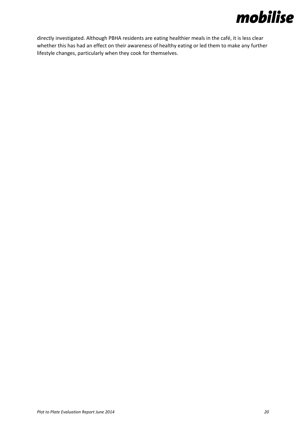

directly investigated. Although PBHA residents are eating healthier meals in the café, it is less clear whether this has had an effect on their awareness of healthy eating or led them to make any further lifestyle changes, particularly when they cook for themselves.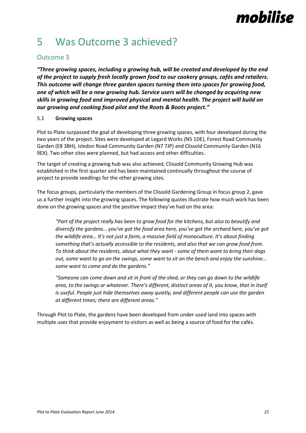# 5 Was Outcome 3 achieved?

## Outcome 3

*"Three growing spaces, including a growing hub, will be created and developed by the end of the project to supply fresh locally grown food to our cookery groups, cafés and retailers. This outcome will change three garden spaces turning them into spaces for growing food, one of which will be a new growing hub. Service users will be changed by acquiring new skills in growing food and improved physical and mental health. The project will build on our growing and cooking food pilot and the Roots & Boots project."*

#### 5.1 **Growing spaces**

Plot to Plate surpassed the goal of developing three growing spaces, with four developed during the two years of the project. Sites were developed at Legard Works (N5 1DE), Forest Road Community Garden (E8 3BH), Isledon Road Community Garden (N7 7JP) and Clissold Community Garden (N16 9EX). Two other sites were planned, but had access and other difficulties.

The target of creating a growing hub was also achieved; Clissold Community Growing Hub was established in the first quarter and has been maintained continually throughout the course of project to provide seedlings for the other growing sites.

The focus groups, particularly the members of the Clissold Gardening Group in focus group 2, gave us a further insight into the growing spaces. The following quotes illustrate how much work has been done on the growing spaces and the positive impact they've had on the area:

*"Part of the project really has been to grow food for the kitchens, but also to beautify and diversify the gardens… you've got the food area here, you've got the orchard here, you've got the wildlife area… It's not just a farm, a massive field of monoculture. It's about finding something that's actually accessible to the residents, and also that we can grow food from. To think about the residents, about what they want - some of them want to bring their dogs out, some want to go on the swings, some want to sit on the bench and enjoy the sunshine… some want to come and do the gardens."*

*"Someone can come down and sit in front of the shed, or they can go down to the wildlife area, to the swings or whatever. There's different, distinct areas of it, you know, that in itself is useful. People just hide themselves away quietly, and different people can use the garden at different times; there are different areas."*

Through Plot to Plate, the gardens have been developed from under-used land into spaces with multiple uses that provide enjoyment to visitors as well as being a source of food for the cafés.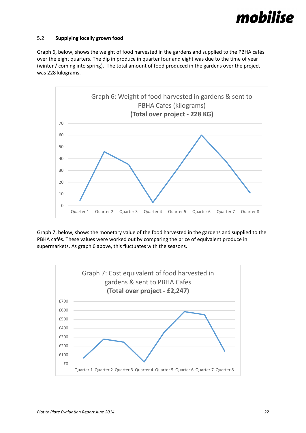

#### 5.2 **Supplying locally grown food**

Graph 6, below, shows the weight of food harvested in the gardens and supplied to the PBHA cafés over the eight quarters. The dip in produce in quarter four and eight was due to the time of year (winter / coming into spring). The total amount of food produced in the gardens over the project was 228 kilograms.



Graph 7, below, shows the monetary value of the food harvested in the gardens and supplied to the PBHA cafés. These values were worked out by comparing the price of equivalent produce in supermarkets. As graph 6 above, this fluctuates with the seasons.

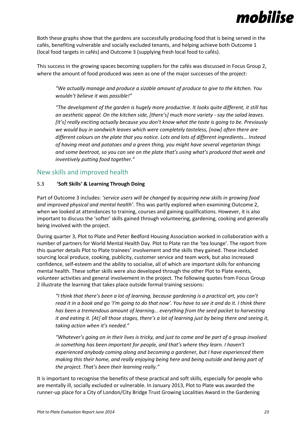

Both these graphs show that the gardens are successfully producing food that is being served in the cafés, benefiting vulnerable and socially excluded tenants, and helping achieve both Outcome 1 (local food targets in cafés) and Outcome 3 (supplying fresh local food to cafés).

This success in the growing spaces becoming suppliers for the cafés was discussed in Focus Group 2, where the amount of food produced was seen as one of the major successes of the project:

*"We actually manage and produce a sizable amount of produce to give to the kitchen. You wouldn't believe it was possible!"*

*"The development of the garden is hugely more productive. It looks quite different, it still has an aesthetic appeal. On the kitchen side, [there's] much more variety - say the salad leaves. [It's] really exciting actually because you don't know what the taste is going to be. Previously we would buy in sandwich leaves which were completely tasteless, [now] often there are different colours on the plate that you notice. Lots and lots of different ingredients... Instead of having meat and potatoes and a green thing, you might have several vegetarian things and some beetroot, so you can see on the plate that's using what's produced that week and inventively putting food together."*

#### New skills and improved health

#### 5.3 **'Soft Skills' & Learning Through Doing**

Part of Outcome 3 includes: *'service users will be changed by acquiring new skills in growing food and improved physical and mental health'*. This was partly explored when examining Outcome 2, when we looked at attendances to training, courses and gaining qualifications. However, it is also important to discuss the 'softer' skills gained through volunteering, gardening, cooking and generally being involved with the project.

During quarter 3, Plot to Plate and Peter Bedford Housing Association worked in collaboration with a number of partners for World Mental Health Day. Plot to Plate ran the 'tea lounge'. The report from this quarter details Plot to Plate trainees' involvement and the skills they gained. These included sourcing local produce, cooking, publicity, customer service and team work, but also increased confidence, self-esteem and the ability to socialise, all of which are important skills for enhancing mental health. These softer skills were also developed through the other Plot to Plate events, volunteer activities and general involvement in the project. The following quotes from Focus Group 2 illustrate the learning that takes place outside formal training sessions:

*"I think that there's been a lot of learning, because gardening is a practical art, you can't read it in a book and go 'I'm going to do that now'. You have to see it and do it. I think there has been a tremendous amount of learning… everything from the seed packet to harvesting it and eating it. [At] all those stages, there's a lot of learning just by being there and seeing it, taking action when it's needed."*

*"Whatever's going on in their lives is tricky, and just to come and be part of a group involved in something has been important for people, and that's where they learn. I haven't experienced anybody coming along and becoming a gardener, but I have experienced them making this their home, and really enjoying being here and being outside and being part of the project. That's been their learning really."*

It is important to recognise the benefits of these practical and soft skills, especially for people who are mentally ill, socially excluded or vulnerable. In January 2013, Plot to Plate was awarded the runner-up place for a City of London/City Bridge Trust Growing Localities Award in the Gardening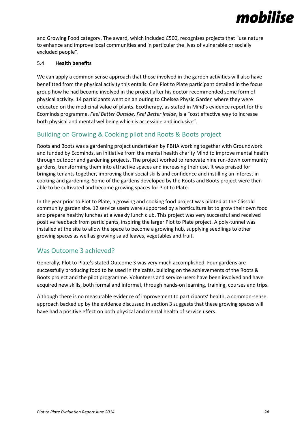

and Growing Food category. The award, which included £500, recognises projects that "use nature to enhance and improve local communities and in particular the lives of vulnerable or socially excluded people".

#### 5.4 **Health benefits**

We can apply a common sense approach that those involved in the garden activities will also have benefitted from the physical activity this entails. One Plot to Plate participant detailed in the focus group how he had become involved in the project after his doctor recommended some form of physical activity. 14 participants went on an outing to Chelsea Physic Garden where they were educated on the medicinal value of plants. Ecotherapy, as stated in Mind's evidence report for the Ecominds programme, *Feel Better Outside, Feel Better Inside*, is a "cost effective way to increase both physical and mental wellbeing which is accessible and inclusive".

### Building on Growing & Cooking pilot and Roots & Boots project

Roots and Boots was a gardening project undertaken by PBHA working together with Groundwork and funded by Ecominds, an initiative from the mental health charity Mind to improve mental health through outdoor and gardening projects. The project worked to renovate nine run-down community gardens, transforming them into attractive spaces and increasing their use. It was praised for bringing tenants together, improving their social skills and confidence and instilling an interest in cooking and gardening. Some of the gardens developed by the Roots and Boots project were then able to be cultivated and become growing spaces for Plot to Plate.

In the year prior to Plot to Plate, a growing and cooking food project was piloted at the Clissold community garden site. 12 service users were supported by a horticulturalist to grow their own food and prepare healthy lunches at a weekly lunch club. This project was very successful and received positive feedback from participants, inspiring the larger Plot to Plate project. A poly-tunnel was installed at the site to allow the space to become a growing hub, supplying seedlings to other growing spaces as well as growing salad leaves, vegetables and fruit.

### Was Outcome 3 achieved?

Generally, Plot to Plate's stated Outcome 3 was very much accomplished. Four gardens are successfully producing food to be used in the cafés, building on the achievements of the Roots & Boots project and the pilot programme. Volunteers and service users have been involved and have acquired new skills, both formal and informal, through hands-on learning, training, courses and trips.

Although there is no measurable evidence of improvement to participants' health, a common-sense approach backed up by the evidence discussed in section 3 suggests that these growing spaces will have had a positive effect on both physical and mental health of service users.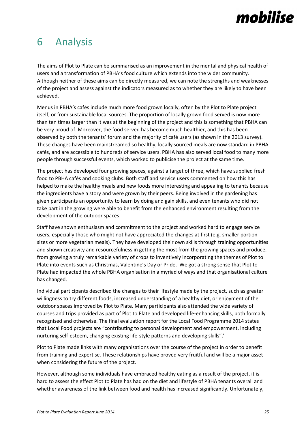## 6 Analysis

The aims of Plot to Plate can be summarised as an improvement in the mental and physical health of users and a transformation of PBHA's food culture which extends into the wider community. Although neither of these aims can be directly measured, we can note the strengths and weaknesses of the project and assess against the indicators measured as to whether they are likely to have been achieved.

Menus in PBHA's cafés include much more food grown locally, often by the Plot to Plate project itself, or from sustainable local sources. The proportion of locally grown food served is now more than ten times larger than it was at the beginning of the project and this is something that PBHA can be very proud of. Moreover, the food served has become much healthier, and this has been observed by both the tenants' forum and the majority of café users (as shown in the 2013 survey). These changes have been mainstreamed so healthy, locally sourced meals are now standard in PBHA cafés, and are accessible to hundreds of service users. PBHA has also served local food to many more people through successful events, which worked to publicise the project at the same time.

The project has developed four growing spaces, against a target of three, which have supplied fresh food to PBHA cafés and cooking clubs. Both staff and service users commented on how this has helped to make the healthy meals and new foods more interesting and appealing to tenants because the ingredients have a story and were grown by their peers. Being involved in the gardening has given participants an opportunity to learn by doing and gain skills, and even tenants who did not take part in the growing were able to benefit from the enhanced environment resulting from the development of the outdoor spaces.

Staff have shown enthusiasm and commitment to the project and worked hard to engage service users, especially those who might not have appreciated the changes at first (e.g. smaller portion sizes or more vegetarian meals). They have developed their own skills through training opportunities and shown creativity and resourcefulness in getting the most from the growing spaces and produce, from growing a truly remarkable variety of crops to inventively incorporating the themes of Plot to Plate into events such as Christmas, Valentine's Day or Pride. We got a strong sense that Plot to Plate had impacted the whole PBHA organisation in a myriad of ways and that organisational culture has changed.

Individual participants described the changes to their lifestyle made by the project, such as greater willingness to try different foods, increased understanding of a healthy diet, or enjoyment of the outdoor spaces improved by Plot to Plate. Many participants also attended the wide variety of courses and trips provided as part of Plot to Plate and developed life-enhancing skills, both formally recognised and otherwise. The final evaluation report for the Local Food Programme 2014 states that Local Food projects are "contributing to personal development and empowerment, including nurturing self-esteem, changing existing life-style patterns and developing skills".'

Plot to Plate made links with many organisations over the course of the project in order to benefit from training and expertise. These relationships have proved very fruitful and will be a major asset when considering the future of the project.

However, although some individuals have embraced healthy eating as a result of the project, it is hard to assess the effect Plot to Plate has had on the diet and lifestyle of PBHA tenants overall and whether awareness of the link between food and health has increased significantly. Unfortunately,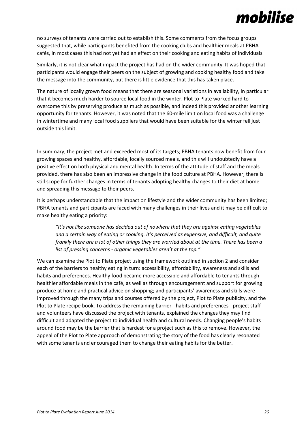no surveys of tenants were carried out to establish this. Some comments from the focus groups suggested that, while participants benefited from the cooking clubs and healthier meals at PBHA cafés, in most cases this had not yet had an effect on their cooking and eating habits of individuals.

Similarly, it is not clear what impact the project has had on the wider community. It was hoped that participants would engage their peers on the subject of growing and cooking healthy food and take the message into the community, but there is little evidence that this has taken place.

The nature of locally grown food means that there are seasonal variations in availability, in particular that it becomes much harder to source local food in the winter. Plot to Plate worked hard to overcome this by preserving produce as much as possible, and indeed this provided another learning opportunity for tenants. However, it was noted that the 60-mile limit on local food was a challenge in wintertime and many local food suppliers that would have been suitable for the winter fell just outside this limit.

In summary, the project met and exceeded most of its targets; PBHA tenants now benefit from four growing spaces and healthy, affordable, locally sourced meals, and this will undoubtedly have a positive effect on both physical and mental health. In terms of the attitude of staff and the meals provided, there has also been an impressive change in the food culture at PBHA. However, there is still scope for further changes in terms of tenants adopting healthy changes to their diet at home and spreading this message to their peers.

It is perhaps understandable that the impact on lifestyle and the wider community has been limited; PBHA tenants and participants are faced with many challenges in their lives and it may be difficult to make healthy eating a priority:

*"It's not like someone has decided out of nowhere that they are against eating vegetables and a certain way of eating or cooking. It's perceived as expensive, and difficult, and quite frankly there are a lot of other things they are worried about at the time. There has been a list of pressing concerns - organic vegetables aren't at the top."*

We can examine the Plot to Plate project using the framework outlined in section 2 and consider each of the barriers to healthy eating in turn: accessibility, affordability, awareness and skills and habits and preferences. Healthy food became more accessible and affordable to tenants through healthier affordable meals in the café, as well as through encouragement and support for growing produce at home and practical advice on shopping; and participants' awareness and skills were improved through the many trips and courses offered by the project, Plot to Plate publicity, and the Plot to Plate recipe book. To address the remaining barrier - habits and preferences - project staff and volunteers have discussed the project with tenants, explained the changes they may find difficult and adapted the project to individual health and cultural needs. Changing people's habits around food may be the barrier that is hardest for a project such as this to remove. However, the appeal of the Plot to Plate approach of demonstrating the story of the food has clearly resonated with some tenants and encouraged them to change their eating habits for the better.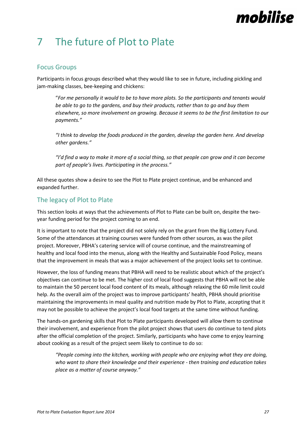# 7 The future of Plot to Plate

### Focus Groups

Participants in focus groups described what they would like to see in future, including pickling and jam-making classes, bee-keeping and chickens:

"*For me personally it would to be to have more plots. So the participants and tenants would be able to go to the gardens, and buy their products, rather than to go and buy them elsewhere, so more involvement on growing. Because it seems to be the first limitation to our payments."*

*"I think to develop the foods produced in the garden, develop the garden here. And develop other gardens."*

*"I'd find a way to make it more of a social thing, so that people can grow and it can become part of people's lives. Participating in the process."* 

All these quotes show a desire to see the Plot to Plate project continue, and be enhanced and expanded further.

## The legacy of Plot to Plate

This section looks at ways that the achievements of Plot to Plate can be built on, despite the twoyear funding period for the project coming to an end.

It is important to note that the project did not solely rely on the grant from the Big Lottery Fund. Some of the attendances at training courses were funded from other sources, as was the pilot project. Moreover, PBHA's catering service will of course continue, and the mainstreaming of healthy and local food into the menus, along with the Healthy and Sustainable Food Policy, means that the improvement in meals that was a major achievement of the project looks set to continue.

However, the loss of funding means that PBHA will need to be realistic about which of the project's objectives can continue to be met. The higher cost of local food suggests that PBHA will not be able to maintain the 50 percent local food content of its meals, although relaxing the 60 mile limit could help. As the overall aim of the project was to improve participants' health, PBHA should prioritise maintaining the improvements in meal quality and nutrition made by Plot to Plate, accepting that it may not be possible to achieve the project's local food targets at the same time without funding.

The hands-on gardening skills that Plot to Plate participants developed will allow them to continue their involvement, and experience from the pilot project shows that users do continue to tend plots after the official completion of the project. Similarly, participants who have come to enjoy learning about cooking as a result of the project seem likely to continue to do so:

*"People coming into the kitchen, working with people who are enjoying what they are doing, who want to share their knowledge and their experience - then training and education takes place as a matter of course anyway."*